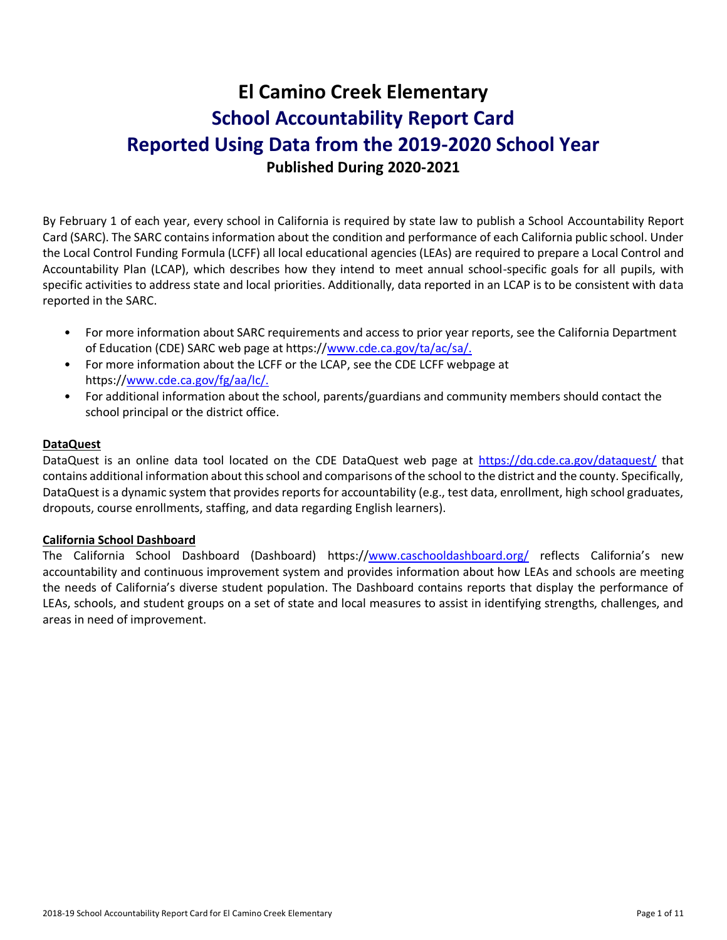# **El Camino Creek Elementary School Accountability Report Card Reported Using Data from the 2019-2020 School Year Published During 2020-2021**

By February 1 of each year, every school in California is required by state law to publish a School Accountability Report Card (SARC). The SARC contains information about the condition and performance of each California public school. Under the Local Control Funding Formula (LCFF) all local educational agencies (LEAs) are required to prepare a Local Control and Accountability Plan (LCAP), which describes how they intend to meet annual school-specific goals for all pupils, with specific activities to address state and local priorities. Additionally, data reported in an LCAP is to be consistent with data reported in the SARC.

- For more information about SARC requirements and access to prior year reports, see the California Department of Education (CDE) SARC web page at https:/[/www.cde.ca.gov/ta/ac/sa/.](https://www.cde.ca.gov/ta/ac/sa/)
- For more information about the LCFF or the LCAP, see the CDE LCFF webpage at https:/[/www.cde.ca.gov/fg/aa/lc/.](https://www.cde.ca.gov/fg/aa/lc/)
- For additional information about the school, parents/guardians and community members should contact the school principal or the district office.

### **DataQuest**

DataQuest is an online data tool located on the CDE DataQuest web page at<https://dq.cde.ca.gov/dataquest/> that contains additional information about this school and comparisons of the school to the district and the county. Specifically, DataQuest is a dynamic system that provides reports for accountability (e.g., test data, enrollment, high school graduates, dropouts, course enrollments, staffing, and data regarding English learners).

#### **California School Dashboard**

The California School Dashboard (Dashboard) https:/[/www.caschooldashboard.org/](https://www.caschooldashboard.org/) reflects California's new accountability and continuous improvement system and provides information about how LEAs and schools are meeting the needs of California's diverse student population. The Dashboard contains reports that display the performance of LEAs, schools, and student groups on a set of state and local measures to assist in identifying strengths, challenges, and areas in need of improvement.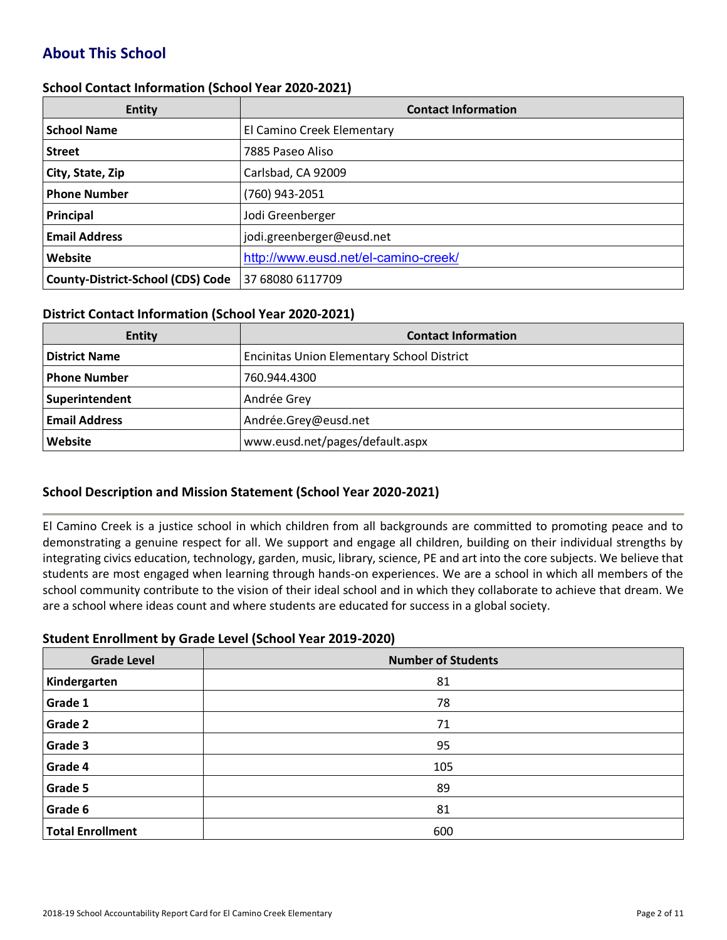# **About This School**

#### **School Contact Information (School Year 2020-2021)**

| <b>Entity</b>                            | <b>Contact Information</b>           |
|------------------------------------------|--------------------------------------|
| <b>School Name</b>                       | El Camino Creek Elementary           |
| <b>Street</b>                            | 7885 Paseo Aliso                     |
| City, State, Zip                         | Carlsbad, CA 92009                   |
| <b>Phone Number</b>                      | (760) 943-2051                       |
| Principal                                | Jodi Greenberger                     |
| <b>Email Address</b>                     | jodi.greenberger@eusd.net            |
| Website                                  | http://www.eusd.net/el-camino-creek/ |
| <b>County-District-School (CDS) Code</b> | 37 68080 6117709                     |

#### **District Contact Information (School Year 2020-2021)**

| <b>Entity</b>        | <b>Contact Information</b>                        |  |  |  |
|----------------------|---------------------------------------------------|--|--|--|
| <b>District Name</b> | <b>Encinitas Union Elementary School District</b> |  |  |  |
| Phone Number         | 760.944.4300                                      |  |  |  |
| Superintendent       | Andrée Grey                                       |  |  |  |
| <b>Email Address</b> | Andrée.Grey@eusd.net                              |  |  |  |
| Website              | www.eusd.net/pages/default.aspx                   |  |  |  |

#### **School Description and Mission Statement (School Year 2020-2021)**

El Camino Creek is a justice school in which children from all backgrounds are committed to promoting peace and to demonstrating a genuine respect for all. We support and engage all children, building on their individual strengths by integrating civics education, technology, garden, music, library, science, PE and art into the core subjects. We believe that students are most engaged when learning through hands-on experiences. We are a school in which all members of the school community contribute to the vision of their ideal school and in which they collaborate to achieve that dream. We are a school where ideas count and where students are educated for success in a global society.

#### **Student Enrollment by Grade Level (School Year 2019-2020)**

| <b>Grade Level</b>      | <b>Number of Students</b> |
|-------------------------|---------------------------|
| Kindergarten            | 81                        |
| Grade 1                 | 78                        |
| Grade 2                 | 71                        |
| Grade 3                 | 95                        |
| Grade 4                 | 105                       |
| Grade 5                 | 89                        |
| Grade 6                 | 81                        |
| <b>Total Enrollment</b> | 600                       |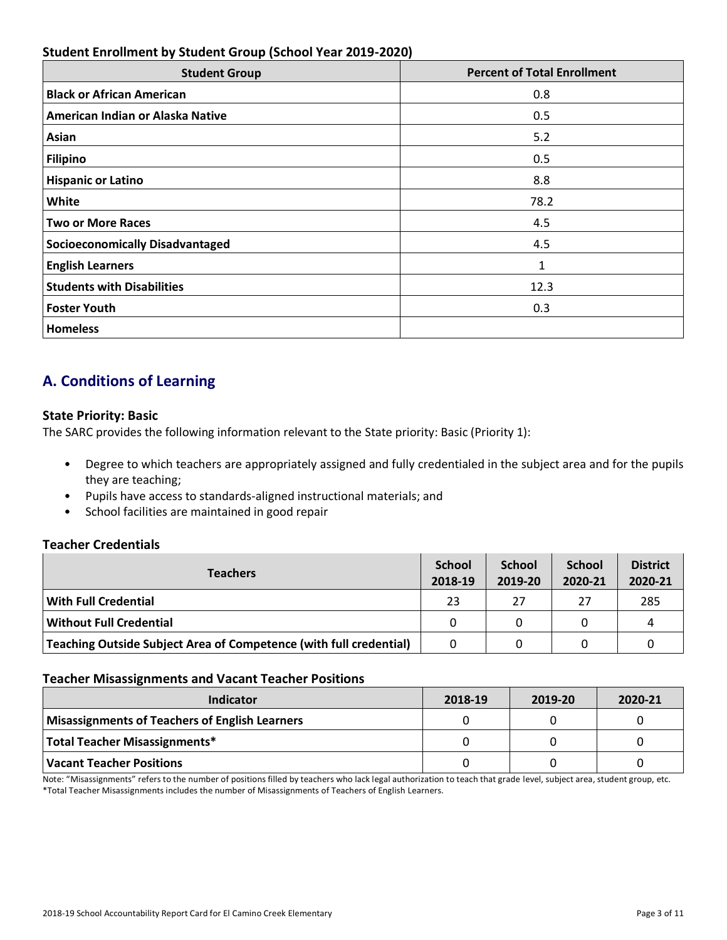# **Student Enrollment by Student Group (School Year 2019-2020)**

| <b>Student Group</b>                   | <b>Percent of Total Enrollment</b> |
|----------------------------------------|------------------------------------|
| <b>Black or African American</b>       | 0.8                                |
| American Indian or Alaska Native       | 0.5                                |
| Asian                                  | 5.2                                |
| <b>Filipino</b>                        | 0.5                                |
| <b>Hispanic or Latino</b>              | 8.8                                |
| White                                  | 78.2                               |
| <b>Two or More Races</b>               | 4.5                                |
| <b>Socioeconomically Disadvantaged</b> | 4.5                                |
| <b>English Learners</b>                | 1                                  |
| <b>Students with Disabilities</b>      | 12.3                               |
| <b>Foster Youth</b>                    | 0.3                                |
| <b>Homeless</b>                        |                                    |

# **A. Conditions of Learning**

#### **State Priority: Basic**

The SARC provides the following information relevant to the State priority: Basic (Priority 1):

- Degree to which teachers are appropriately assigned and fully credentialed in the subject area and for the pupils they are teaching;
- Pupils have access to standards-aligned instructional materials; and
- School facilities are maintained in good repair

# **Teacher Credentials**

| <b>Teachers</b>                                                    |    | <b>School</b><br>2019-20 | <b>School</b><br>2020-21 | <b>District</b><br>2020-21 |
|--------------------------------------------------------------------|----|--------------------------|--------------------------|----------------------------|
| <b>With Full Credential</b>                                        | 23 | 27                       | 27                       | 285                        |
| <b>Without Full Credential</b>                                     | 0  | 0                        |                          | Δ                          |
| Teaching Outside Subject Area of Competence (with full credential) |    |                          |                          |                            |

#### **Teacher Misassignments and Vacant Teacher Positions**

| Indicator                                             | 2018-19 | 2019-20 | 2020-21 |
|-------------------------------------------------------|---------|---------|---------|
| <b>Misassignments of Teachers of English Learners</b> |         |         |         |
| Total Teacher Misassignments*                         |         |         |         |
| <b>Vacant Teacher Positions</b>                       |         |         |         |

Note: "Misassignments" refers to the number of positions filled by teachers who lack legal authorization to teach that grade level, subject area, student group, etc. \*Total Teacher Misassignments includes the number of Misassignments of Teachers of English Learners.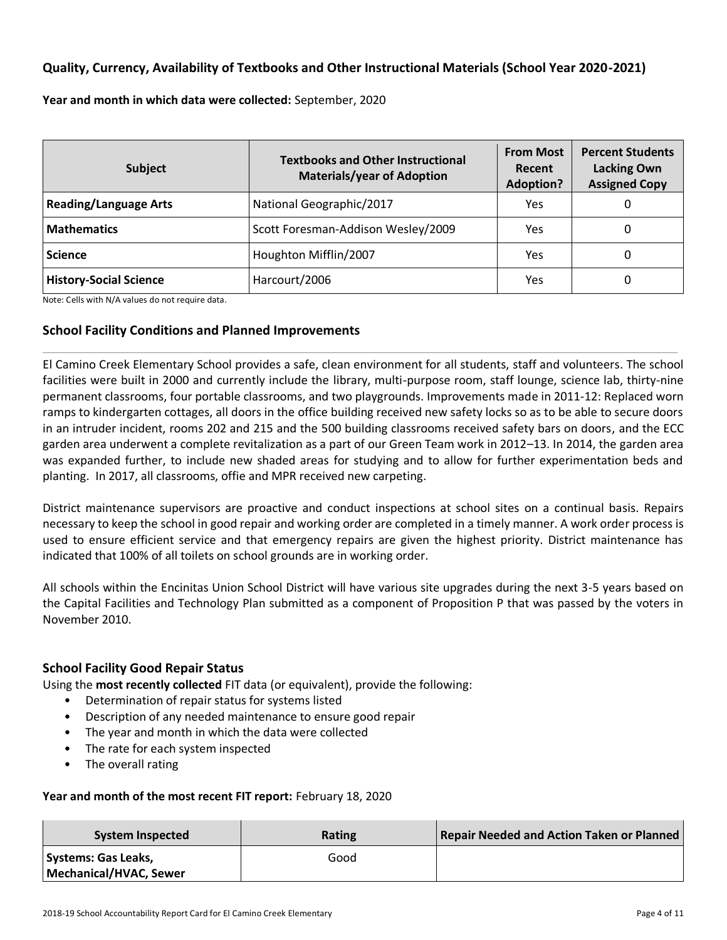# **Quality, Currency, Availability of Textbooks and Other Instructional Materials (School Year 2020-2021)**

**Year and month in which data were collected:** September, 2020

| <b>Subject</b>                | <b>Textbooks and Other Instructional</b><br><b>Materials/year of Adoption</b> | <b>From Most</b><br>Recent<br><b>Adoption?</b> | <b>Percent Students</b><br><b>Lacking Own</b><br><b>Assigned Copy</b> |  |
|-------------------------------|-------------------------------------------------------------------------------|------------------------------------------------|-----------------------------------------------------------------------|--|
| <b>Reading/Language Arts</b>  | National Geographic/2017                                                      | Yes                                            | 0                                                                     |  |
| <b>Mathematics</b>            | Scott Foresman-Addison Wesley/2009                                            | Yes                                            | 0                                                                     |  |
| <b>Science</b>                | Houghton Mifflin/2007                                                         | Yes                                            | 0                                                                     |  |
| <b>History-Social Science</b> | Harcourt/2006                                                                 | Yes                                            | 0                                                                     |  |

Note: Cells with N/A values do not require data.

# **School Facility Conditions and Planned Improvements**

El Camino Creek Elementary School provides a safe, clean environment for all students, staff and volunteers. The school facilities were built in 2000 and currently include the library, multi-purpose room, staff lounge, science lab, thirty-nine permanent classrooms, four portable classrooms, and two playgrounds. Improvements made in 2011-12: Replaced worn ramps to kindergarten cottages, all doors in the office building received new safety locks so as to be able to secure doors in an intruder incident, rooms 202 and 215 and the 500 building classrooms received safety bars on doors, and the ECC garden area underwent a complete revitalization as a part of our Green Team work in 2012–13. In 2014, the garden area was expanded further, to include new shaded areas for studying and to allow for further experimentation beds and planting. In 2017, all classrooms, offie and MPR received new carpeting.

District maintenance supervisors are proactive and conduct inspections at school sites on a continual basis. Repairs necessary to keep the school in good repair and working order are completed in a timely manner. A work order process is used to ensure efficient service and that emergency repairs are given the highest priority. District maintenance has indicated that 100% of all toilets on school grounds are in working order.

All schools within the Encinitas Union School District will have various site upgrades during the next 3-5 years based on the Capital Facilities and Technology Plan submitted as a component of Proposition P that was passed by the voters in November 2010.

# **School Facility Good Repair Status**

Using the **most recently collected** FIT data (or equivalent), provide the following:

- Determination of repair status for systems listed
- Description of any needed maintenance to ensure good repair
- The year and month in which the data were collected
- The rate for each system inspected
- The overall rating

#### **Year and month of the most recent FIT report:** February 18, 2020

| System Inspected                              | Rating | <b>Repair Needed and Action Taken or Planned</b> |
|-----------------------------------------------|--------|--------------------------------------------------|
| Systems: Gas Leaks,<br>Mechanical/HVAC, Sewer | Good   |                                                  |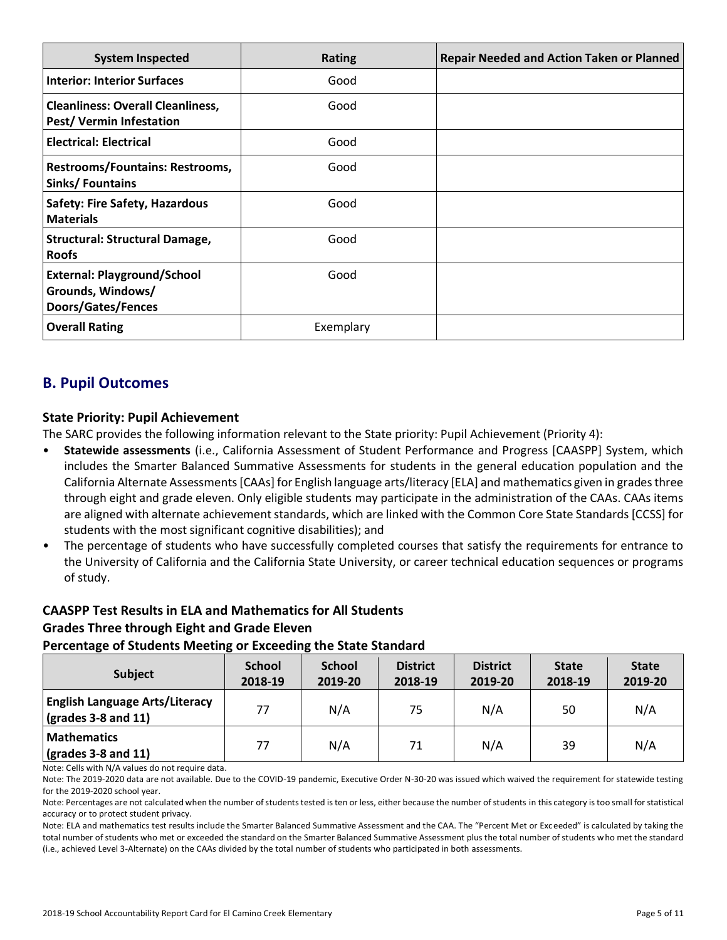| <b>System Inspected</b>                                                              | <b>Rating</b> | <b>Repair Needed and Action Taken or Planned</b> |
|--------------------------------------------------------------------------------------|---------------|--------------------------------------------------|
| <b>Interior: Interior Surfaces</b>                                                   | Good          |                                                  |
| <b>Cleanliness: Overall Cleanliness,</b><br><b>Pest/ Vermin Infestation</b>          | Good          |                                                  |
| <b>Electrical: Electrical</b>                                                        | Good          |                                                  |
| <b>Restrooms/Fountains: Restrooms,</b><br><b>Sinks/Fountains</b>                     | Good          |                                                  |
| <b>Safety: Fire Safety, Hazardous</b><br><b>Materials</b>                            | Good          |                                                  |
| <b>Structural: Structural Damage,</b><br><b>Roofs</b>                                | Good          |                                                  |
| <b>External: Playground/School</b><br>Grounds, Windows/<br><b>Doors/Gates/Fences</b> | Good          |                                                  |
| <b>Overall Rating</b>                                                                | Exemplary     |                                                  |

# **B. Pupil Outcomes**

### **State Priority: Pupil Achievement**

The SARC provides the following information relevant to the State priority: Pupil Achievement (Priority 4):

- **Statewide assessments** (i.e., California Assessment of Student Performance and Progress [CAASPP] System, which includes the Smarter Balanced Summative Assessments for students in the general education population and the California Alternate Assessments [CAAs] for English language arts/literacy [ELA] and mathematics given in grades three through eight and grade eleven. Only eligible students may participate in the administration of the CAAs. CAAs items are aligned with alternate achievement standards, which are linked with the Common Core State Standards [CCSS] for students with the most significant cognitive disabilities); and
- The percentage of students who have successfully completed courses that satisfy the requirements for entrance to the University of California and the California State University, or career technical education sequences or programs of study.

# **CAASPP Test Results in ELA and Mathematics for All Students Grades Three through Eight and Grade Eleven**

| <b>Subject</b>                                                       | <b>School</b><br>2018-19 | <b>School</b><br>2019-20 | <b>District</b><br>2018-19 | <b>District</b><br>2019-20 | <b>State</b><br>2018-19 | <b>State</b><br>2019-20 |
|----------------------------------------------------------------------|--------------------------|--------------------------|----------------------------|----------------------------|-------------------------|-------------------------|
| <b>English Language Arts/Literacy</b><br>$\vert$ (grades 3-8 and 11) | 77                       | N/A                      | 75                         | N/A                        | 50                      | N/A                     |
| <b>Mathematics</b><br>$\vert$ (grades 3-8 and 11)                    | 77                       | N/A                      | 71                         | N/A                        | 39                      | N/A                     |

Note: Cells with N/A values do not require data.

Note: The 2019-2020 data are not available. Due to the COVID-19 pandemic, Executive Order N-30-20 was issued which waived the requirement for statewide testing for the 2019-2020 school year.

Note: Percentages are not calculated when the number of students tested is ten or less, either because the number of students in this category is too small for statistical accuracy or to protect student privacy.

Note: ELA and mathematics test results include the Smarter Balanced Summative Assessment and the CAA. The "Percent Met or Exceeded" is calculated by taking the total number of students who met or exceeded the standard on the Smarter Balanced Summative Assessment plus the total number of students who met the standard (i.e., achieved Level 3-Alternate) on the CAAs divided by the total number of students who participated in both assessments.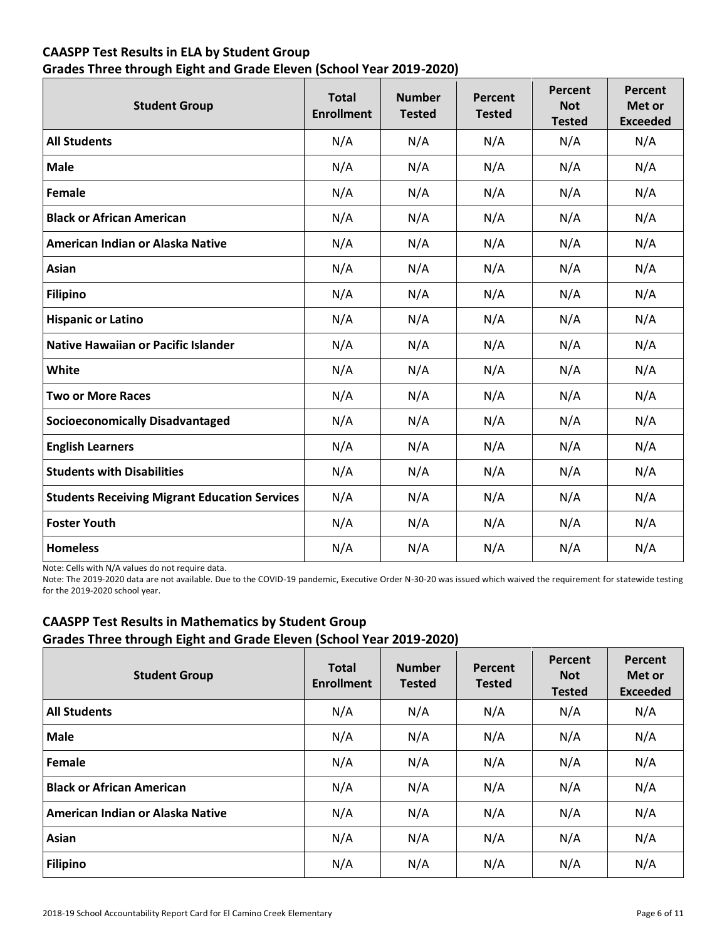# **CAASPP Test Results in ELA by Student Group Grades Three through Eight and Grade Eleven (School Year 2019-2020)**

| <b>Student Group</b>                                 | <b>Total</b><br><b>Enrollment</b> | <b>Number</b><br><b>Tested</b> | Percent<br><b>Tested</b> | Percent<br><b>Not</b><br><b>Tested</b> | Percent<br>Met or<br><b>Exceeded</b> |
|------------------------------------------------------|-----------------------------------|--------------------------------|--------------------------|----------------------------------------|--------------------------------------|
| <b>All Students</b>                                  | N/A                               | N/A                            | N/A                      | N/A                                    | N/A                                  |
| <b>Male</b>                                          | N/A                               | N/A                            | N/A                      | N/A                                    | N/A                                  |
| Female                                               | N/A                               | N/A                            | N/A                      | N/A                                    | N/A                                  |
| <b>Black or African American</b>                     | N/A                               | N/A                            | N/A                      | N/A                                    | N/A                                  |
| American Indian or Alaska Native                     | N/A                               | N/A                            | N/A                      | N/A                                    | N/A                                  |
| Asian                                                | N/A                               | N/A                            | N/A                      | N/A                                    | N/A                                  |
| <b>Filipino</b>                                      | N/A                               | N/A                            | N/A                      | N/A                                    | N/A                                  |
| <b>Hispanic or Latino</b>                            | N/A                               | N/A                            | N/A                      | N/A                                    | N/A                                  |
| <b>Native Hawaiian or Pacific Islander</b>           | N/A                               | N/A                            | N/A                      | N/A                                    | N/A                                  |
| <b>White</b>                                         | N/A                               | N/A                            | N/A                      | N/A                                    | N/A                                  |
| <b>Two or More Races</b>                             | N/A                               | N/A                            | N/A                      | N/A                                    | N/A                                  |
| <b>Socioeconomically Disadvantaged</b>               | N/A                               | N/A                            | N/A                      | N/A                                    | N/A                                  |
| <b>English Learners</b>                              | N/A                               | N/A                            | N/A                      | N/A                                    | N/A                                  |
| <b>Students with Disabilities</b>                    | N/A                               | N/A                            | N/A                      | N/A                                    | N/A                                  |
| <b>Students Receiving Migrant Education Services</b> | N/A                               | N/A                            | N/A                      | N/A                                    | N/A                                  |
| <b>Foster Youth</b>                                  | N/A                               | N/A                            | N/A                      | N/A                                    | N/A                                  |
| <b>Homeless</b>                                      | N/A                               | N/A                            | N/A                      | N/A                                    | N/A                                  |

Note: Cells with N/A values do not require data.

Note: The 2019-2020 data are not available. Due to the COVID-19 pandemic, Executive Order N-30-20 was issued which waived the requirement for statewide testing for the 2019-2020 school year.

# **CAASPP Test Results in Mathematics by Student Group Grades Three through Eight and Grade Eleven (School Year 2019-2020)**

| <b>Student Group</b>             | <b>Total</b><br><b>Enrollment</b> | <b>Number</b><br><b>Tested</b> | Percent<br><b>Tested</b> | Percent<br><b>Not</b><br><b>Tested</b> | Percent<br>Met or<br><b>Exceeded</b> |
|----------------------------------|-----------------------------------|--------------------------------|--------------------------|----------------------------------------|--------------------------------------|
| <b>All Students</b>              | N/A                               | N/A                            | N/A                      | N/A                                    | N/A                                  |
| <b>Male</b>                      | N/A                               | N/A                            | N/A                      | N/A                                    | N/A                                  |
| Female                           | N/A                               | N/A                            | N/A                      | N/A                                    | N/A                                  |
| <b>Black or African American</b> | N/A                               | N/A                            | N/A                      | N/A                                    | N/A                                  |
| American Indian or Alaska Native | N/A                               | N/A                            | N/A                      | N/A                                    | N/A                                  |
| Asian                            | N/A                               | N/A                            | N/A                      | N/A                                    | N/A                                  |
| <b>Filipino</b>                  | N/A                               | N/A                            | N/A                      | N/A                                    | N/A                                  |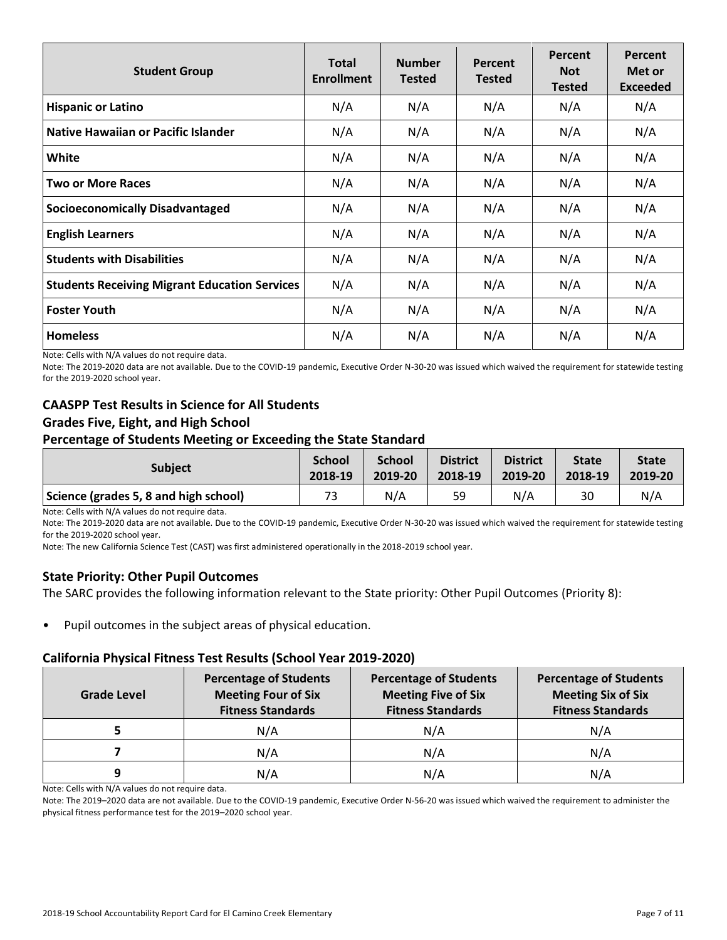| <b>Student Group</b>                                 | <b>Total</b><br><b>Enrollment</b> | <b>Number</b><br><b>Tested</b> | Percent<br><b>Tested</b> | Percent<br><b>Not</b><br><b>Tested</b> | <b>Percent</b><br>Met or<br><b>Exceeded</b> |
|------------------------------------------------------|-----------------------------------|--------------------------------|--------------------------|----------------------------------------|---------------------------------------------|
| <b>Hispanic or Latino</b>                            | N/A                               | N/A                            | N/A                      | N/A                                    | N/A                                         |
| Native Hawaiian or Pacific Islander                  | N/A                               | N/A                            | N/A                      | N/A                                    | N/A                                         |
| White                                                | N/A                               | N/A                            | N/A                      | N/A                                    | N/A                                         |
| <b>Two or More Races</b>                             | N/A                               | N/A                            | N/A                      | N/A                                    | N/A                                         |
| <b>Socioeconomically Disadvantaged</b>               | N/A                               | N/A                            | N/A                      | N/A                                    | N/A                                         |
| <b>English Learners</b>                              | N/A                               | N/A                            | N/A                      | N/A                                    | N/A                                         |
| <b>Students with Disabilities</b>                    | N/A                               | N/A                            | N/A                      | N/A                                    | N/A                                         |
| <b>Students Receiving Migrant Education Services</b> | N/A                               | N/A                            | N/A                      | N/A                                    | N/A                                         |
| <b>Foster Youth</b>                                  | N/A                               | N/A                            | N/A                      | N/A                                    | N/A                                         |
| <b>Homeless</b>                                      | N/A                               | N/A                            | N/A                      | N/A                                    | N/A                                         |

Note: Cells with N/A values do not require data.

Note: The 2019-2020 data are not available. Due to the COVID-19 pandemic, Executive Order N-30-20 was issued which waived the requirement for statewide testing for the 2019-2020 school year.

# **CAASPP Test Results in Science for All Students Grades Five, Eight, and High School**

#### **Percentage of Students Meeting or Exceeding the State Standard**

| <b>Subject</b>                        | <b>School</b> | <b>School</b> | <b>District</b> | <b>District</b> | <b>State</b> | <b>State</b> |
|---------------------------------------|---------------|---------------|-----------------|-----------------|--------------|--------------|
|                                       | 2018-19       | 2019-20       | 2018-19         | 2019-20         | 2018-19      | 2019-20      |
| Science (grades 5, 8 and high school) | 73            | N/A           | 59              | N/A             | 30           | N/A          |

Note: Cells with N/A values do not require data.

Note: The 2019-2020 data are not available. Due to the COVID-19 pandemic, Executive Order N-30-20 was issued which waived the requirement for statewide testing for the 2019-2020 school year.

Note: The new California Science Test (CAST) was first administered operationally in the 2018-2019 school year.

#### **State Priority: Other Pupil Outcomes**

The SARC provides the following information relevant to the State priority: Other Pupil Outcomes (Priority 8):

Pupil outcomes in the subject areas of physical education.

#### **California Physical Fitness Test Results (School Year 2019-2020)**

| Grade Level | <b>Percentage of Students</b><br><b>Meeting Four of Six</b><br><b>Fitness Standards</b> |     | <b>Percentage of Students</b><br><b>Meeting Six of Six</b><br><b>Fitness Standards</b> |  |  |
|-------------|-----------------------------------------------------------------------------------------|-----|----------------------------------------------------------------------------------------|--|--|
|             | N/A                                                                                     | N/A | N/A                                                                                    |  |  |
|             | N/A                                                                                     | N/A | N/A                                                                                    |  |  |
| q           | N/A                                                                                     | N/A | N/A                                                                                    |  |  |

Note: Cells with N/A values do not require data.

Note: The 2019–2020 data are not available. Due to the COVID-19 pandemic, Executive Order N-56-20 was issued which waived the requirement to administer the physical fitness performance test for the 2019–2020 school year.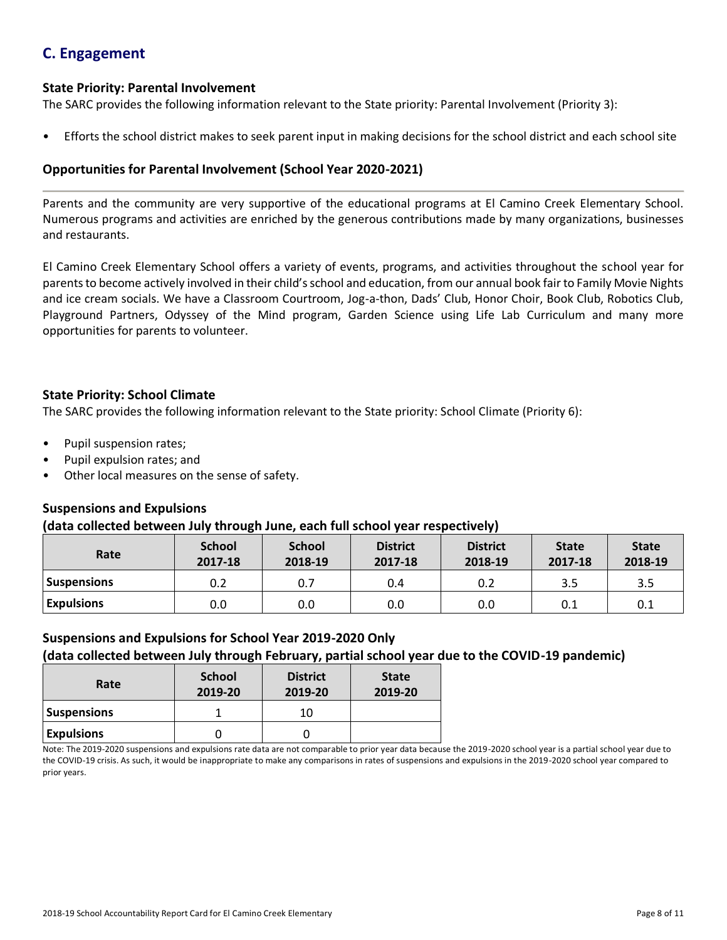# **C. Engagement**

### **State Priority: Parental Involvement**

The SARC provides the following information relevant to the State priority: Parental Involvement (Priority 3):

• Efforts the school district makes to seek parent input in making decisions for the school district and each school site

### **Opportunities for Parental Involvement (School Year 2020-2021)**

Parents and the community are very supportive of the educational programs at El Camino Creek Elementary School. Numerous programs and activities are enriched by the generous contributions made by many organizations, businesses and restaurants.

El Camino Creek Elementary School offers a variety of events, programs, and activities throughout the school year for parents to become actively involved in their child's school and education, from our annual book fair to Family Movie Nights and ice cream socials. We have a Classroom Courtroom, Jog-a-thon, Dads' Club, Honor Choir, Book Club, Robotics Club, Playground Partners, Odyssey of the Mind program, Garden Science using Life Lab Curriculum and many more opportunities for parents to volunteer.

### **State Priority: School Climate**

The SARC provides the following information relevant to the State priority: School Climate (Priority 6):

- Pupil suspension rates;
- Pupil expulsion rates; and
- Other local measures on the sense of safety.

#### **Suspensions and Expulsions**

#### **(data collected between July through June, each full school year respectively)**

| Rate              | <b>School</b><br>2017-18 | <b>School</b><br>2018-19 | <b>District</b><br>2017-18 | <b>District</b><br>2018-19 | <b>State</b><br>2017-18 | <b>State</b><br>2018-19 |
|-------------------|--------------------------|--------------------------|----------------------------|----------------------------|-------------------------|-------------------------|
| Suspensions       | 0.2                      | 0.7                      | 0.4                        | 0.2                        | 3.5                     | 3.5                     |
| <b>Expulsions</b> | 0.0                      | 0.0                      | 0.0                        | 0.0                        | 0.1                     | 0.1                     |

#### **Suspensions and Expulsions for School Year 2019-2020 Only**

# **(data collected between July through February, partial school year due to the COVID-19 pandemic)**

| Rate               | <b>School</b><br>2019-20 | <b>District</b><br>2019-20 | <b>State</b><br>2019-20 |
|--------------------|--------------------------|----------------------------|-------------------------|
| <b>Suspensions</b> |                          | 10                         |                         |
| <b>Expulsions</b>  |                          |                            |                         |

Note: The 2019-2020 suspensions and expulsions rate data are not comparable to prior year data because the 2019-2020 school year is a partial school year due to the COVID-19 crisis. As such, it would be inappropriate to make any comparisons in rates of suspensions and expulsions in the 2019-2020 school year compared to prior years.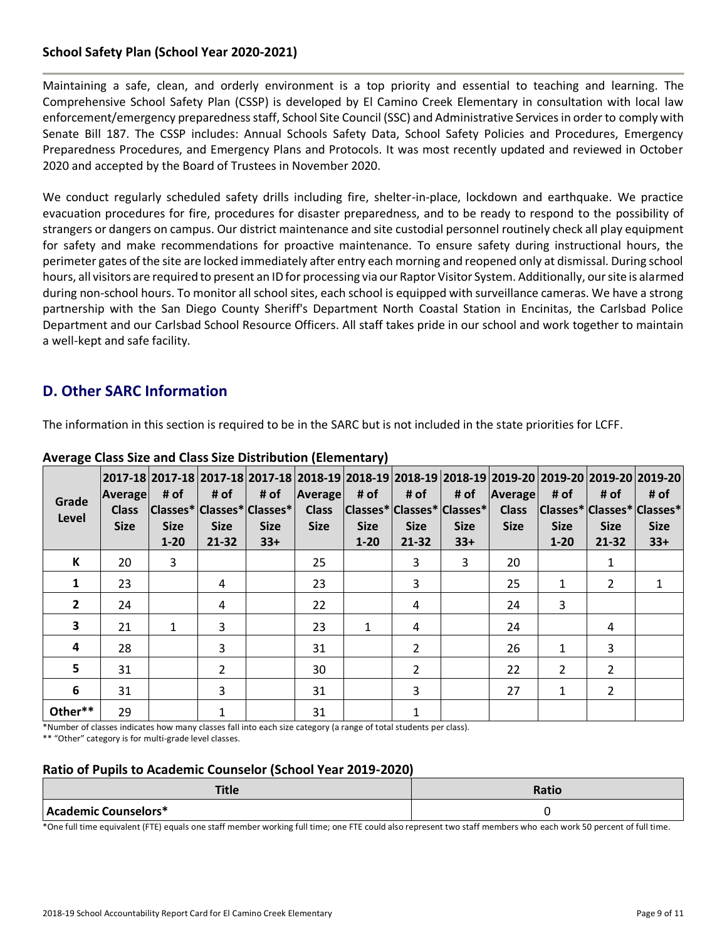# **School Safety Plan (School Year 2020-2021)**

Maintaining a safe, clean, and orderly environment is a top priority and essential to teaching and learning. The Comprehensive School Safety Plan (CSSP) is developed by El Camino Creek Elementary in consultation with local law enforcement/emergency preparedness staff, School Site Council (SSC) and Administrative Services in order to comply with Senate Bill 187. The CSSP includes: Annual Schools Safety Data, School Safety Policies and Procedures, Emergency Preparedness Procedures, and Emergency Plans and Protocols. It was most recently updated and reviewed in October 2020 and accepted by the Board of Trustees in November 2020.

We conduct regularly scheduled safety drills including fire, shelter-in-place, lockdown and earthquake. We practice evacuation procedures for fire, procedures for disaster preparedness, and to be ready to respond to the possibility of strangers or dangers on campus. Our district maintenance and site custodial personnel routinely check all play equipment for safety and make recommendations for proactive maintenance. To ensure safety during instructional hours, the perimeter gates of the site are locked immediately after entry each morning and reopened only at dismissal. During school hours, all visitors are required to present an ID for processing via our Raptor Visitor System. Additionally, our site is alarmed during non-school hours. To monitor all school sites, each school is equipped with surveillance cameras. We have a strong partnership with the San Diego County Sheriff's Department North Coastal Station in Encinitas, the Carlsbad Police Department and our Carlsbad School Resource Officers. All staff takes pride in our school and work together to maintain a well-kept and safe facility.

# **D. Other SARC Information**

The information in this section is required to be in the SARC but is not included in the state priorities for LCFF.

| Grade<br>Level | Average<br><b>Class</b><br><b>Size</b> | # of<br><b>Size</b><br>$1 - 20$ | # of<br><b>Size</b><br>$21 - 32$ | # of<br> Classes* Classes* Classes* <br><b>Size</b><br>$33+$ | Average<br><b>Class</b><br><b>Size</b> | # of<br><b>Size</b><br>$1 - 20$ | # of<br>$ {\sf Classes*} {\sf Classes*} $<br><b>Size</b><br>$21 - 32$ | # of<br><b>Size</b><br>$33+$ | <b>Average</b><br><b>Class</b><br><b>Size</b> | # of<br><b>Size</b><br>$1 - 20$ | # of<br><b>Size</b><br>21-32 | 2017-18  2017-18  2017-18  2017-18  2018-19  2018-19  2018-19  2018-19  2019-20  2019-20  2019-20  2019-20 <br># of<br> Classes* Classes* Classes* <br><b>Size</b><br>$33+$ |
|----------------|----------------------------------------|---------------------------------|----------------------------------|--------------------------------------------------------------|----------------------------------------|---------------------------------|-----------------------------------------------------------------------|------------------------------|-----------------------------------------------|---------------------------------|------------------------------|-----------------------------------------------------------------------------------------------------------------------------------------------------------------------------|
| К              | 20                                     | $\mathbf{3}$                    |                                  |                                                              | 25                                     |                                 | 3                                                                     | 3                            | 20                                            |                                 | $\mathbf{1}$                 |                                                                                                                                                                             |
| 1              | 23                                     |                                 | 4                                |                                                              | 23                                     |                                 | 3                                                                     |                              | 25                                            | 1                               | $\mathcal{P}$                |                                                                                                                                                                             |
| $\overline{2}$ | 24                                     |                                 | 4                                |                                                              | 22                                     |                                 | 4                                                                     |                              | 24                                            | 3                               |                              |                                                                                                                                                                             |
| 3              | 21                                     | $\mathbf{1}$                    | 3                                |                                                              | 23                                     | 1                               | 4                                                                     |                              | 24                                            |                                 | 4                            |                                                                                                                                                                             |
| 4              | 28                                     |                                 | 3                                |                                                              | 31                                     |                                 | $\overline{2}$                                                        |                              | 26                                            | 1                               | 3                            |                                                                                                                                                                             |
| 5              | 31                                     |                                 | $\overline{2}$                   |                                                              | 30                                     |                                 | $\overline{2}$                                                        |                              | 22                                            | $\overline{2}$                  | $\overline{2}$               |                                                                                                                                                                             |
| 6              | 31                                     |                                 | 3                                |                                                              | 31                                     |                                 | 3                                                                     |                              | 27                                            | 1                               | $\overline{2}$               |                                                                                                                                                                             |
| Other**        | 29                                     |                                 | $\mathbf{1}$                     |                                                              | 31                                     |                                 |                                                                       |                              |                                               |                                 |                              |                                                                                                                                                                             |

### **Average Class Size and Class Size Distribution (Elementary)**

\*Number of classes indicates how many classes fall into each size category (a range of total students per class).

\*\* "Other" category is for multi-grade level classes.

# **Ratio of Pupils to Academic Counselor (School Year 2019-2020)**

| <b>Title</b>         | Ratio |
|----------------------|-------|
| Academic Counselors* |       |

\*One full time equivalent (FTE) equals one staff member working full time; one FTE could also represent two staff members who each work 50 percent of full time.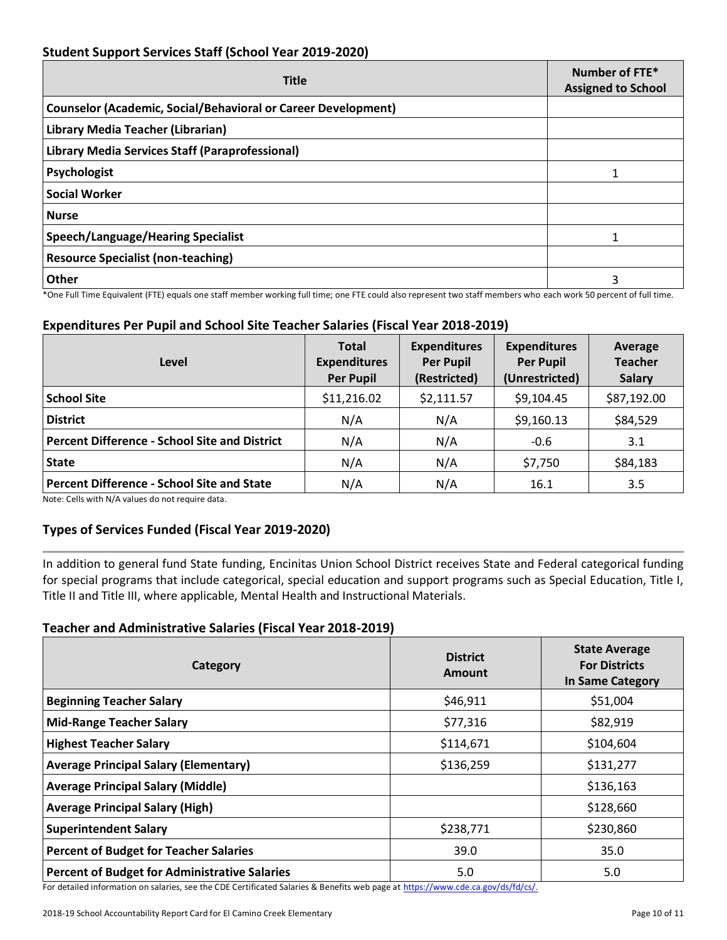# **Student Support Services Staff (School Year 2019-2020)**

| <b>Title</b>                                                         | Number of FTE*<br><b>Assigned to School</b> |  |
|----------------------------------------------------------------------|---------------------------------------------|--|
| <b>Counselor (Academic, Social/Behavioral or Career Development)</b> |                                             |  |
| Library Media Teacher (Librarian)                                    |                                             |  |
| Library Media Services Staff (Paraprofessional)                      |                                             |  |
| Psychologist                                                         |                                             |  |
| <b>Social Worker</b>                                                 |                                             |  |
| <b>Nurse</b>                                                         |                                             |  |
| Speech/Language/Hearing Specialist                                   |                                             |  |
| <b>Resource Specialist (non-teaching)</b>                            |                                             |  |
| <b>Other</b>                                                         | 3                                           |  |

\*One Full Time Equivalent (FTE) equals one staff member working full time; one FTE could also represent two staff members who each work 50 percent of full time.

# **Expenditures Per Pupil and School Site Teacher Salaries (Fiscal Year 2018-2019)**

| Level                                                | <b>Total</b><br><b>Expenditures</b><br><b>Per Pupil</b> | <b>Expenditures</b><br><b>Per Pupil</b><br>(Restricted) | <b>Expenditures</b><br><b>Per Pupil</b><br>(Unrestricted) | Average<br><b>Teacher</b><br><b>Salary</b> |
|------------------------------------------------------|---------------------------------------------------------|---------------------------------------------------------|-----------------------------------------------------------|--------------------------------------------|
| <b>School Site</b>                                   | \$11,216.02                                             | \$2,111.57                                              | \$9,104.45                                                | \$87,192.00                                |
| <b>District</b>                                      | N/A                                                     | N/A                                                     | \$9,160.13                                                | \$84,529                                   |
| <b>Percent Difference - School Site and District</b> | N/A                                                     | N/A                                                     | $-0.6$                                                    | 3.1                                        |
| <b>State</b>                                         | N/A                                                     | N/A                                                     | \$7,750                                                   | \$84,183                                   |
| <b>Percent Difference - School Site and State</b>    | N/A                                                     | N/A                                                     | 16.1                                                      | 3.5                                        |

Note: Cells with N/A values do not require data.

# **Types of Services Funded (Fiscal Year 2019-2020)**

In addition to general fund State funding, Encinitas Union School District receives State and Federal categorical funding for special programs that include categorical, special education and support programs such as Special Education, Title I, Title II and Title III, where applicable, Mental Health and Instructional Materials.

#### **Teacher and Administrative Salaries (Fiscal Year 2018-2019)**

| Category                                             | <b>District</b><br>Amount | <b>State Average</b><br><b>For Districts</b><br>In Same Category |
|------------------------------------------------------|---------------------------|------------------------------------------------------------------|
| <b>Beginning Teacher Salary</b>                      | \$46,911                  | \$51,004                                                         |
| <b>Mid-Range Teacher Salary</b>                      | \$77,316                  | \$82,919                                                         |
| <b>Highest Teacher Salary</b>                        | \$114,671                 | \$104,604                                                        |
| <b>Average Principal Salary (Elementary)</b>         | \$136,259                 | \$131,277                                                        |
| <b>Average Principal Salary (Middle)</b>             |                           | \$136,163                                                        |
| <b>Average Principal Salary (High)</b>               |                           | \$128,660                                                        |
| <b>Superintendent Salary</b>                         | \$238,771                 | \$230,860                                                        |
| <b>Percent of Budget for Teacher Salaries</b>        | 39.0                      | 35.0                                                             |
| <b>Percent of Budget for Administrative Salaries</b> | 5.0                       | 5.0                                                              |

For detailed information on salaries, see the CDE Certificated Salaries & Benefits web page at [https://www.cde.ca.gov/ds/fd/cs/.](https://www.cde.ca.gov/ds/fd/cs/)